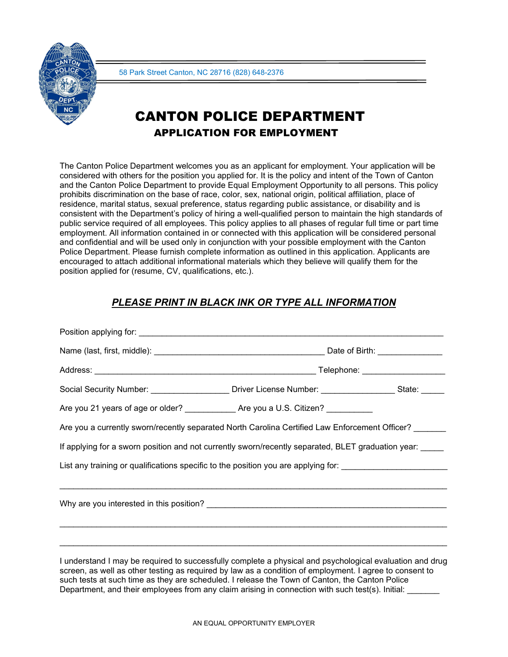

# CANTON POLICE DEPARTMENT APPLICATION FOR EMPLOYMENT

The Canton Police Department welcomes you as an applicant for employment. Your application will be considered with others for the position you applied for. It is the policy and intent of the Town of Canton and the Canton Police Department to provide Equal Employment Opportunity to all persons. This policy prohibits discrimination on the base of race, color, sex, national origin, political affiliation, place of residence, marital status, sexual preference, status regarding public assistance, or disability and is consistent with the Department's policy of hiring a well-qualified person to maintain the high standards of public service required of all employees. This policy applies to all phases of regular full time or part time employment. All information contained in or connected with this application will be considered personal and confidential and will be used only in conjunction with your possible employment with the Canton Police Department. Please furnish complete information as outlined in this application. Applicants are encouraged to attach additional informational materials which they believe will qualify them for the position applied for (resume, CV, qualifications, etc.).

## *PLEASE PRINT IN BLACK INK OR TYPE ALL INFORMATION*

| Social Security Number: _____________________Driver License Number: __________________State: ______           |  |  |
|---------------------------------------------------------------------------------------------------------------|--|--|
| Are you 21 years of age or older? _____________Are you a U.S. Citizen? __________                             |  |  |
| Are you a currently sworn/recently separated North Carolina Certified Law Enforcement Officer?                |  |  |
| If applying for a sworn position and not currently sworn/recently separated, BLET graduation year:            |  |  |
| List any training or qualifications specific to the position you are applying for: __________________________ |  |  |
|                                                                                                               |  |  |
|                                                                                                               |  |  |
|                                                                                                               |  |  |
|                                                                                                               |  |  |
| I understand I may be required to successfully complete a physical and psychological evaluation and drug      |  |  |

I understand I may be required to successfully complete a physical and psychological evaluation and drug screen, as well as other testing as required by law as a condition of employment. I agree to consent to such tests at such time as they are scheduled. I release the Town of Canton, the Canton Police Department, and their employees from any claim arising in connection with such test(s). Initial: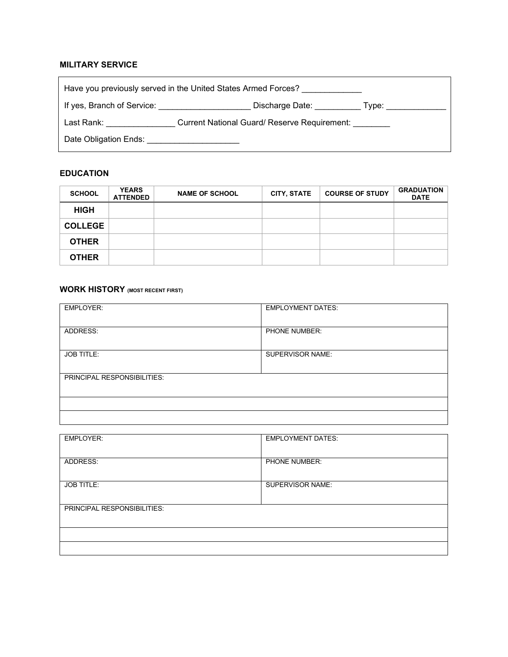### **MILITARY SERVICE**

| Have you previously served in the United States Armed Forces? |                                              |                                                                                                                                                                                                                                |  |
|---------------------------------------------------------------|----------------------------------------------|--------------------------------------------------------------------------------------------------------------------------------------------------------------------------------------------------------------------------------|--|
| If yes, Branch of Service:                                    | Discharge Date:                              | Type: the contract of the contract of the contract of the contract of the contract of the contract of the contract of the contract of the contract of the contract of the contract of the contract of the contract of the cont |  |
| Last Rank: <b>All Accords</b>                                 | Current National Guard/ Reserve Requirement: |                                                                                                                                                                                                                                |  |
| Date Obligation Ends: Date Obligation Correspondent           |                                              |                                                                                                                                                                                                                                |  |

### **EDUCATION**

| <b>SCHOOL</b>  | <b>YEARS</b><br><b>ATTENDED</b> | <b>NAME OF SCHOOL</b> | <b>CITY, STATE</b> | <b>COURSE OF STUDY</b> | <b>GRADUATION</b><br><b>DATE</b> |
|----------------|---------------------------------|-----------------------|--------------------|------------------------|----------------------------------|
| <b>HIGH</b>    |                                 |                       |                    |                        |                                  |
| <b>COLLEGE</b> |                                 |                       |                    |                        |                                  |
| <b>OTHER</b>   |                                 |                       |                    |                        |                                  |
| <b>OTHER</b>   |                                 |                       |                    |                        |                                  |

### **WORK HISTORY (MOST RECENT FIRST)**

| <b>EMPLOYER:</b>                   | <b>EMPLOYMENT DATES:</b> |
|------------------------------------|--------------------------|
|                                    |                          |
| ADDRESS:                           | PHONE NUMBER:            |
|                                    |                          |
| <b>JOB TITLE:</b>                  | SUPERVISOR NAME:         |
|                                    |                          |
| <b>PRINCIPAL RESPONSIBILITIES:</b> |                          |
|                                    |                          |
|                                    |                          |
|                                    |                          |

| <b>EMPLOYER:</b>            | <b>EMPLOYMENT DATES:</b> |
|-----------------------------|--------------------------|
|                             |                          |
| ADDRESS:                    | PHONE NUMBER:            |
|                             |                          |
| <b>JOB TITLE:</b>           | SUPERVISOR NAME:         |
|                             |                          |
| PRINCIPAL RESPONSIBILITIES: |                          |
|                             |                          |
|                             |                          |
|                             |                          |
|                             |                          |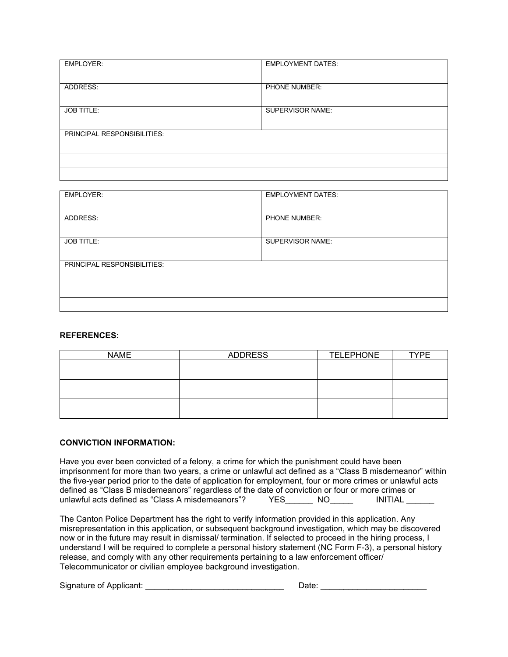| <b>EMPLOYER:</b>            | <b>EMPLOYMENT DATES:</b> |
|-----------------------------|--------------------------|
| ADDRESS:                    | PHONE NUMBER:            |
|                             |                          |
| <b>JOB TITLE:</b>           | <b>SUPERVISOR NAME:</b>  |
| PRINCIPAL RESPONSIBILITIES: |                          |
|                             |                          |
|                             |                          |
|                             |                          |

| <b>EMPLOYER:</b>            | <b>EMPLOYMENT DATES:</b> |
|-----------------------------|--------------------------|
| ADDRESS:                    | <b>PHONE NUMBER:</b>     |
| <b>JOB TITLE:</b>           | <b>SUPERVISOR NAME:</b>  |
| PRINCIPAL RESPONSIBILITIES: |                          |
|                             |                          |
|                             |                          |

#### **REFERENCES:**

| <b>NAME</b> | <b>ADDRESS</b> | <b>TELEPHONE</b> | <b>TYPE</b> |
|-------------|----------------|------------------|-------------|
|             |                |                  |             |
|             |                |                  |             |
|             |                |                  |             |
|             |                |                  |             |
|             |                |                  |             |
|             |                |                  |             |

### **CONVICTION INFORMATION:**

Have you ever been convicted of a felony, a crime for which the punishment could have been imprisonment for more than two years, a crime or unlawful act defined as a "Class B misdemeanor" within the five-year period prior to the date of application for employment, four or more crimes or unlawful acts defined as "Class B misdemeanors" regardless of the date of conviction or four or more crimes or<br>unlawful acts defined as "Class A misdemeanors"? YES\_\_\_\_\_\_\_\_ NO\_\_\_\_\_\_\_ INITIAL \_\_\_\_\_\_ unlawful acts defined as "Class A misdemeanors"?

The Canton Police Department has the right to verify information provided in this application. Any misrepresentation in this application, or subsequent background investigation, which may be discovered now or in the future may result in dismissal/ termination. If selected to proceed in the hiring process, I understand I will be required to complete a personal history statement (NC Form F-3), a personal history release, and comply with any other requirements pertaining to a law enforcement officer/ Telecommunicator or civilian employee background investigation.

Signature of Applicant: \_\_\_\_\_\_\_\_\_\_\_\_\_\_\_\_\_\_\_\_\_\_\_\_\_\_\_\_\_\_ Date: \_\_\_\_\_\_\_\_\_\_\_\_\_\_\_\_\_\_\_\_\_\_\_